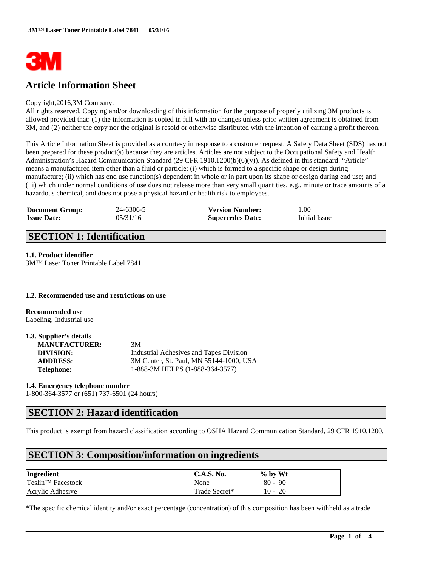

# **Article Information Sheet**

#### Copyright,2016,3M Company.

All rights reserved. Copying and/or downloading of this information for the purpose of properly utilizing 3M products is allowed provided that: (1) the information is copied in full with no changes unless prior written agreement is obtained from 3M, and (2) neither the copy nor the original is resold or otherwise distributed with the intention of earning a profit thereon.

This Article Information Sheet is provided as a courtesy in response to a customer request. A Safety Data Sheet (SDS) has not been prepared for these product(s) because they are articles. Articles are not subject to the Occupational Safety and Health Administration's Hazard Communication Standard (29 CFR 1910.1200(b)(6)(v)). As defined in this standard: "Article" means a manufactured item other than a fluid or particle: (i) which is formed to a specific shape or design during manufacture; (ii) which has end use function(s) dependent in whole or in part upon its shape or design during end use; and (iii) which under normal conditions of use does not release more than very small quantities, e.g., minute or trace amounts of a hazardous chemical, and does not pose a physical hazard or health risk to employees.

| <b>Document Group:</b> | 24-6306-5 | <b>Version Number:</b>  | 1.00          |
|------------------------|-----------|-------------------------|---------------|
| <b>Issue Date:</b>     | 05/31/16  | <b>Supercedes Date:</b> | Initial Issue |

## **SECTION 1: Identification**

#### **1.1. Product identifier**

3M™ Laser Toner Printable Label 7841

#### **1.2. Recommended use and restrictions on use**

**Recommended use** Labeling, Industrial use

| 1.3. Supplier's details |                                         |
|-------------------------|-----------------------------------------|
| <b>MANUFACTURER:</b>    | 3M                                      |
| DIVISION:               | Industrial Adhesives and Tapes Division |
| <b>ADDRESS:</b>         | 3M Center, St. Paul, MN 55144-1000, USA |
| <b>Telephone:</b>       | 1-888-3M HELPS (1-888-364-3577)         |

#### **1.4. Emergency telephone number**

1-800-364-3577 or (651) 737-6501 (24 hours)

# **SECTION 2: Hazard identification**

This product is exempt from hazard classification according to OSHA Hazard Communication Standard, 29 CFR 1910.1200.

# **SECTION 3: Composition/information on ingredients**

| Ingredient                        | C.A.S. No.    | $\frac{1}{2}$ by Wt |
|-----------------------------------|---------------|---------------------|
| $T$ eslin <sup>TM</sup> Facestock | None          | $80 -$<br>-90       |
| Acrylic Adhesive                  | Trade Secret* | $10 -$<br>-20       |

\*The specific chemical identity and/or exact percentage (concentration) of this composition has been withheld as a trade

 $\mathcal{L}_\mathcal{L} = \mathcal{L}_\mathcal{L} = \mathcal{L}_\mathcal{L} = \mathcal{L}_\mathcal{L} = \mathcal{L}_\mathcal{L} = \mathcal{L}_\mathcal{L} = \mathcal{L}_\mathcal{L} = \mathcal{L}_\mathcal{L} = \mathcal{L}_\mathcal{L} = \mathcal{L}_\mathcal{L} = \mathcal{L}_\mathcal{L} = \mathcal{L}_\mathcal{L} = \mathcal{L}_\mathcal{L} = \mathcal{L}_\mathcal{L} = \mathcal{L}_\mathcal{L} = \mathcal{L}_\mathcal{L} = \mathcal{L}_\mathcal{L}$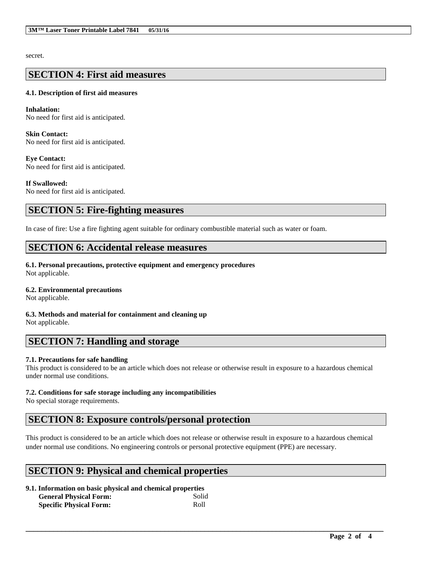secret.

### **SECTION 4: First aid measures**

### **4.1. Description of first aid measures**

**Inhalation:**  No need for first aid is anticipated.

**Skin Contact:**  No need for first aid is anticipated.

**Eye Contact:**  No need for first aid is anticipated.

**If Swallowed:**  No need for first aid is anticipated.

## **SECTION 5: Fire-fighting measures**

In case of fire: Use a fire fighting agent suitable for ordinary combustible material such as water or foam.

## **SECTION 6: Accidental release measures**

**6.1. Personal precautions, protective equipment and emergency procedures** Not applicable.

### **6.2. Environmental precautions**

Not applicable.

**6.3. Methods and material for containment and cleaning up** Not applicable.

# **SECTION 7: Handling and storage**

### **7.1. Precautions for safe handling**

This product is considered to be an article which does not release or otherwise result in exposure to a hazardous chemical under normal use conditions.

### **7.2. Conditions for safe storage including any incompatibilities**

No special storage requirements.

# **SECTION 8: Exposure controls/personal protection**

This product is considered to be an article which does not release or otherwise result in exposure to a hazardous chemical under normal use conditions. No engineering controls or personal protective equipment (PPE) are necessary.

# **SECTION 9: Physical and chemical properties**

| 9.1. Information on basic physical and chemical properties |       |  |
|------------------------------------------------------------|-------|--|
| <b>General Physical Form:</b>                              | Solid |  |
| <b>Specific Physical Form:</b>                             | Roll  |  |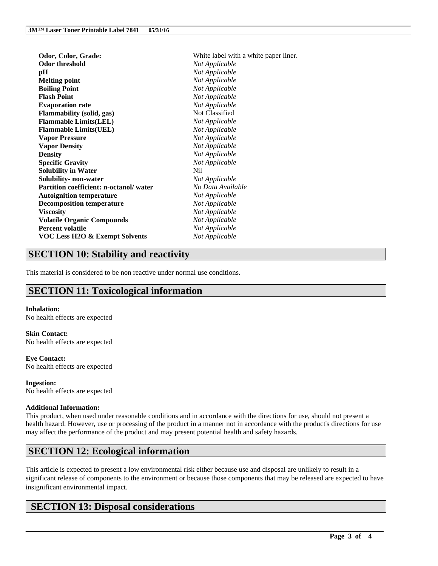| Odor threshold<br>Not Applicable<br>Not Applicable<br>pН<br>Not Applicable<br><b>Melting point</b><br>Not Applicable<br><b>Boiling Point</b><br><b>Flash Point</b><br>Not Applicable<br>Not Applicable<br><b>Evaporation rate</b><br>Not Classified<br><b>Flammability</b> (solid, gas) | Odor, Color, Grade: | White label with a white paper liner. |
|-----------------------------------------------------------------------------------------------------------------------------------------------------------------------------------------------------------------------------------------------------------------------------------------|---------------------|---------------------------------------|
|                                                                                                                                                                                                                                                                                         |                     |                                       |
|                                                                                                                                                                                                                                                                                         |                     |                                       |
|                                                                                                                                                                                                                                                                                         |                     |                                       |
|                                                                                                                                                                                                                                                                                         |                     |                                       |
|                                                                                                                                                                                                                                                                                         |                     |                                       |
|                                                                                                                                                                                                                                                                                         |                     |                                       |
|                                                                                                                                                                                                                                                                                         |                     |                                       |
| <b>Flammable Limits(LEL)</b><br>Not Applicable                                                                                                                                                                                                                                          |                     |                                       |
| Not Applicable<br><b>Flammable Limits(UEL)</b>                                                                                                                                                                                                                                          |                     |                                       |
| Not Applicable<br><b>Vapor Pressure</b>                                                                                                                                                                                                                                                 |                     |                                       |
| Not Applicable<br><b>Vapor Density</b>                                                                                                                                                                                                                                                  |                     |                                       |
| Not Applicable<br><b>Density</b>                                                                                                                                                                                                                                                        |                     |                                       |
| <b>Specific Gravity</b><br>Not Applicable                                                                                                                                                                                                                                               |                     |                                       |
| Nil.<br><b>Solubility in Water</b>                                                                                                                                                                                                                                                      |                     |                                       |
| Solubility- non-water<br>Not Applicable                                                                                                                                                                                                                                                 |                     |                                       |
| Partition coefficient: n-octanol/water<br>No Data Available                                                                                                                                                                                                                             |                     |                                       |
| Not Applicable<br><b>Autoignition temperature</b>                                                                                                                                                                                                                                       |                     |                                       |
| <b>Decomposition temperature</b><br>Not Applicable                                                                                                                                                                                                                                      |                     |                                       |
| Not Applicable<br><b>Viscosity</b>                                                                                                                                                                                                                                                      |                     |                                       |
| Not Applicable<br><b>Volatile Organic Compounds</b>                                                                                                                                                                                                                                     |                     |                                       |
| <b>Percent volatile</b><br>Not Applicable                                                                                                                                                                                                                                               |                     |                                       |
| Not Applicable<br><b>VOC Less H2O &amp; Exempt Solvents</b>                                                                                                                                                                                                                             |                     |                                       |

# **SECTION 10: Stability and reactivity**

This material is considered to be non reactive under normal use conditions.

# **SECTION 11: Toxicological information**

### **Inhalation:**

No health effects are expected

**Skin Contact:** No health effects are expected

**Eye Contact:** No health effects are expected

**Ingestion:** No health effects are expected

### **Additional Information:**

This product, when used under reasonable conditions and in accordance with the directions for use, should not present a health hazard. However, use or processing of the product in a manner not in accordance with the product's directions for use may affect the performance of the product and may present potential health and safety hazards.

# **SECTION 12: Ecological information**

This article is expected to present a low environmental risk either because use and disposal are unlikely to result in a significant release of components to the environment or because those components that may be released are expected to have insignificant environmental impact.

 $\mathcal{L}_\mathcal{L} = \mathcal{L}_\mathcal{L} = \mathcal{L}_\mathcal{L} = \mathcal{L}_\mathcal{L} = \mathcal{L}_\mathcal{L} = \mathcal{L}_\mathcal{L} = \mathcal{L}_\mathcal{L} = \mathcal{L}_\mathcal{L} = \mathcal{L}_\mathcal{L} = \mathcal{L}_\mathcal{L} = \mathcal{L}_\mathcal{L} = \mathcal{L}_\mathcal{L} = \mathcal{L}_\mathcal{L} = \mathcal{L}_\mathcal{L} = \mathcal{L}_\mathcal{L} = \mathcal{L}_\mathcal{L} = \mathcal{L}_\mathcal{L}$ 

# **SECTION 13: Disposal considerations**